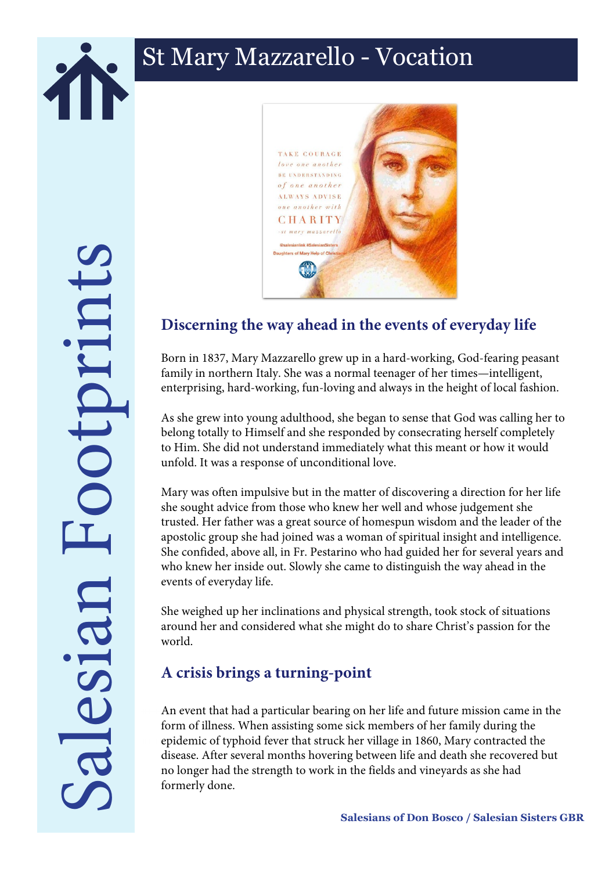

## St Mary Mazzarello - Vocation

Salesian Footprints ootprints esian



## **Discerning the way ahead in the events of everyday life**

Born in 1837, Mary Mazzarello grew up in a hard-working, God-fearing peasant family in northern Italy. She was a normal teenager of her times—intelligent, enterprising, hard-working, fun-loving and always in the height of local fashion.

As she grew into young adulthood, she began to sense that God was calling her to belong totally to Himself and she responded by consecrating herself completely to Him. She did not understand immediately what this meant or how it would unfold. It was a response of unconditional love.

Mary was often impulsive but in the matter of discovering a direction for her life she sought advice from those who knew her well and whose judgement she trusted. Her father was a great source of homespun wisdom and the leader of the apostolic group she had joined was a woman of spiritual insight and intelligence. She confided, above all, in Fr. Pestarino who had guided her for several years and who knew her inside out. Slowly she came to distinguish the way ahead in the events of everyday life.

She weighed up her inclinations and physical strength, took stock of situations around her and considered what she might do to share Christ's passion for the world.

## **A crisis brings a turning-point**

An event that had a particular bearing on her life and future mission came in the form of illness. When assisting some sick members of her family during the epidemic of typhoid fever that struck her village in 1860, Mary contracted the disease. After several months hovering between life and death she recovered but no longer had the strength to work in the fields and vineyards as she had formerly done.